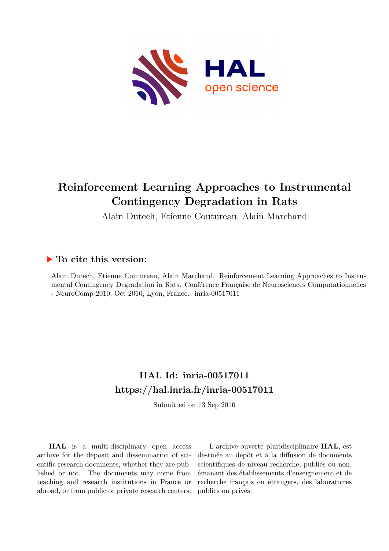

# **Reinforcement Learning Approaches to Instrumental Contingency Degradation in Rats**

Alain Dutech, Etienne Coutureau, Alain Marchand

# **To cite this version:**

Alain Dutech, Etienne Coutureau, Alain Marchand. Reinforcement Learning Approaches to Instrumental Contingency Degradation in Rats. Conférence Française de Neurosciences Computationnelles - NeuroComp 2010, Oct 2010, Lyon, France.  $inria-00517011$ 

# **HAL Id: inria-00517011 <https://hal.inria.fr/inria-00517011>**

Submitted on 13 Sep 2010

**HAL** is a multi-disciplinary open access archive for the deposit and dissemination of scientific research documents, whether they are published or not. The documents may come from teaching and research institutions in France or abroad, or from public or private research centers.

L'archive ouverte pluridisciplinaire **HAL**, est destinée au dépôt et à la diffusion de documents scientifiques de niveau recherche, publiés ou non, émanant des établissements d'enseignement et de recherche français ou étrangers, des laboratoires publics ou privés.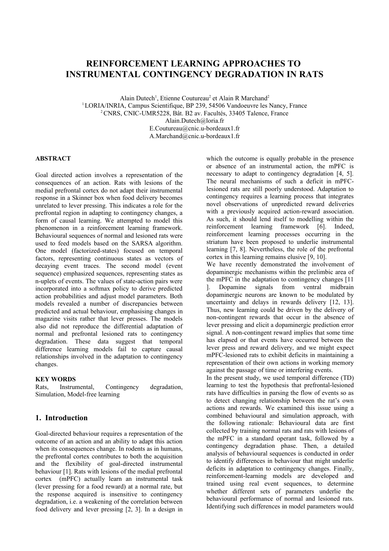# **REINFORCEMENT LEARNING APPROACHES TO INSTRUMENTAL CONTINGENCY DEGRADATION IN RATS**

Alain Dutech<sup>1</sup>, Etienne Coutureau<sup>2</sup> et Alain R Marchand<sup>2</sup> <sup>1</sup>LORIA/INRIA, Campus Scientifique, BP 239, 54506 Vandoeuvre les Nancy, France <sup>2</sup>CNRS, CNIC-UMR5228, Bât. B2 av. Facultés, 33405 Talence, France Alain.Dutech@loria.fr E.Coutureau@cnic.u-bordeaux1.fr A.Marchand@cnic.u-bordeaux1.fr

#### **ABSTRACT**

Goal directed action involves a representation of the consequences of an action. Rats with lesions of the medial prefrontal cortex do not adapt their instrumental response in a Skinner box when food delivery becomes unrelated to lever pressing. This indicates a role for the prefrontal region in adapting to contingency changes, a form of causal learning. We attempted to model this phenomenon in a reinforcement learning framework. Behavioural sequences of normal and lesioned rats were used to feed models based on the SARSA algorithm. One model (factorized-states) focused on temporal factors, representing continuous states as vectors of decaying event traces. The second model (event sequence) emphasized sequences, representing states as n-uplets of events. The values of state-action pairs were incorporated into a softmax policy to derive predicted action probabilities and adjust model parameters. Both models revealed a number of discrepancies between predicted and actual behaviour, emphasising changes in magazine visits rather that lever presses. The models also did not reproduce the differential adaptation of normal and prefrontal lesioned rats to contingency degradation. These data suggest that temporal difference learning models fail to capture causal relationships involved in the adaptation to contingency changes.

#### **KEY WORDS**

Rats, Instrumental, Contingency degradation, Simulation, Model-free learning

## **1. Introduction**

Goal-directed behaviour requires a representation of the outcome of an action and an ability to adapt this action when its consequences change. In rodents as in humans, the prefrontal cortex contributes to both the acquisition and the flexibility of goal-directed instrumental behaviour [1]. Rats with lesions of the medial prefrontal cortex (mPFC) actually learn an instrumental task (lever pressing for a food reward) at a normal rate, but the response acquired is insensitive to contingency degradation, i.e. a weakening of the correlation between food delivery and lever pressing [2, 3]. In a design in which the outcome is equally probable in the presence or absence of an instrumental action, the mPFC is necessary to adapt to contingency degradation [4, 5]. The neural mechanisms of such a deficit in mPFClesioned rats are still poorly understood. Adaptation to contingency requires a learning process that integrates novel observations of unpredicted reward deliveries with a previously acquired action-reward association. As such, it should lend itself to modelling within the reinforcement learning framework [6]. Indeed, reinforcement learning processes occurring in the striatum have been proposed to underlie instrumental learning [7, 8]. Nevertheless, the role of the prefrontal cortex in this learning remains elusive [9, 10]. We have recently demonstrated the involvement of

dopaminergic mechanisms within the prelimbic area of the mPFC in the adaptation to contingency changes [11 ]. Dopamine signals from ventral midbrain dopaminergic neurons are known to be modulated by uncertainty and delays in rewards delivery [12, 13]. Thus, new learning could be driven by the delivery of non-contingent rewards that occur in the absence of lever pressing and elicit a dopaminergic prediction error signal. A non-contingent reward implies that some time has elapsed or that events have occurred between the lever press and reward delivery, and we might expect mPFC-lesioned rats to exhibit deficits in maintaining a representation of their own actions in working memory against the passage of time or interfering events.

In the present study, we used temporal difference (TD) learning to test the hypothesis that prefrontal-lesioned rats have difficulties in parsing the flow of events so as to detect changing relationship between the rat's own actions and rewards. We examined this issue using a combined behavioural and simulation approach, with the following rationale: Behavioural data are first collected by training normal rats and rats with lesions of the mPFC in a standard operant task, followed by a contingency degradation phase. Then, a detailed analysis of behavioural sequences is conducted in order to identify differences in behaviour that might underlie deficits in adaptation to contingency changes. Finally, reinforcement-learning models are developed and trained using real event sequences, to determine whether different sets of parameters underlie the behavioural performance of normal and lesioned rats. Identifying such differences in model parameters would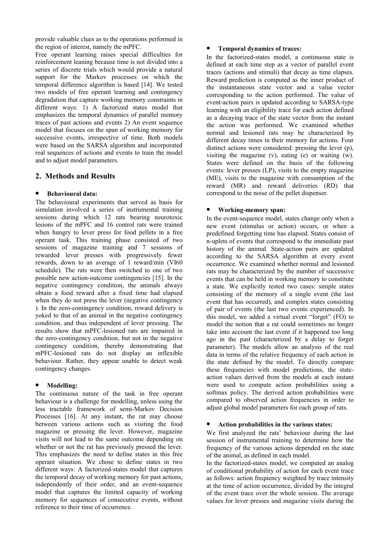provide valuable clues as to the operations performed in the region of interest, namely the mPFC.

Free operant learning raises special difficulties for reinforcement leaning because time is not divided into a series of discrete trials which would provide a natural support for the Markov processes on which the temporal difference algorithm is based [14]. We tested two models of free operant learning and contingency degradation that capture working memory constraints in different ways: 1) A factorized states model that emphasizes the temporal dynamics of parallel memory traces of past actions and events 2) An event sequence model that focuses on the span of working memory for successive events, irrespective of time. Both models were based on the SARSA algorithm and incorporated real sequences of actions and events to train the model and to adjust model parameters.

# **2. Methods and Results**

#### **Behavioural data:**

The behavioural experiments that served as basis for simulation involved a series of instrumental training sessions during which 12 rats bearing neurotoxic lesions of the mPFC and 16 control rats were trained when hungry to lever press for food pellets in a free operant task. This training phase consisted of two sessions of magazine training and 7 sessions of rewarded lever presses with progressively fewer rewards, down to an average of 1 reward/min (VI60 schedule). The rats were then switched to one of two possible new action-outcome contingencies [15]. In the negative contingency condition, the animals always obtain a food reward after a fixed time had elapsed when they do not press the lever (negative contingency ). In the zero-contingency condition, reward delivery is yoked to that of an animal in the negative contingency condition, and thus independent of lever pressing. The results show that mPFC-lesioned rats are impaired in the zero-contingency condition, but not in the negative contingency condition, thereby demonstrating that mPFC-lesioned rats do not display an inflexible behaviour. Rather, they appear unable to detect weak contingency changes.

#### **Modelling:**

The continuous nature of the task in free operant behaviour is a challenge for modelling, unless using the less tractable framework of semi-Markov Decision Processes [16]. At any instant, the rat may choose between various actions such as visiting the food magazine or pressing the lever. However, magazine visits will not lead to the same outcome depending on whether or not the rat has previously pressed the lever. This emphasizes the need to define states in this free operant situation. We chose to define states in two different ways: A factorized-states model that captures the temporal decay of working memory for past actions, independently of their order, and an event-sequence model that captures the limited capacity of working memory for sequences of consecutive events, without reference to their time of occurrence.

#### **Temporal dynamics of traces:**

In the factorized-states model, a continuous state is defined at each time step as a vector of parallel event traces (actions and stimuli) that decay as time elapses. Reward prediction is computed as the inner product of the instantaneous state vector and a value vector corresponding to the action performed. The value of event-action pairs is updated according to SARSA-type learning with an eligibility trace for each action defined as a decaying trace of the state vector from the instant the action was performed. We examined whether normal and lesioned rats may be characterized by different decay times in their memory for actions. Four distinct actions were considered: pressing the lever (p), visiting the magazine  $(v)$ , eating  $(e)$  or waiting  $(w)$ . States were defined on the basis of the following events: lever presses (LP), visits to the empty magazine (ME), visits to the magazine with consumption of the reward (MR) and reward deliveries (RD) that correspond to the noise of the pellet dispenser.

#### **Working-memory span:**

In the event-sequence model, states change only when a new event (stimulus or action) occurs, or when a predefined forgetting time has elapsed. States consist of n-uplets of events that correspond to the immediate past history of the animal. State-action pairs are updated according to the SARSA algorithm at every event occurrence. We examined whether normal and lesioned rats may be characterized by the number of successive events that can be held in working memory to constitute a state. We explicitly tested two cases: simple states consisting of the memory of a single event (the last event that has occurred), and complex states consisting of pair of events (the last two events experienced). In this model, we added a virtual event "forget" (FO) to model the notion that a rat could sometimes no longer take into account the last event if it happened too long ago in the past (characterized by a delay to forget parameter). The models allow an analysis of the real data in terms of the relative frequency of each action in the state defined by the model. To directly compare these frequencies with model predictions, the stateaction values derived from the models at each instant were used to compute action probabilities using a softmax policy. The derived action probabilities were compared to observed action frequencies in order to adjust global model parameters for each group of rats.

#### **Action probabilities in the various states:**

We first analyzed the rats' behaviour during the last session of instrumental training to determine how the frequency of the various actions depended on the state of the animal, as defined in each model.

In the factorized-states model, we computed an analog of conditional probability of action for each event trace as follows: action frequency weighted by trace intensity at the time of action occurrence, divided by the integral of the event trace over the whole session. The average values for lever presses and magazine visits during the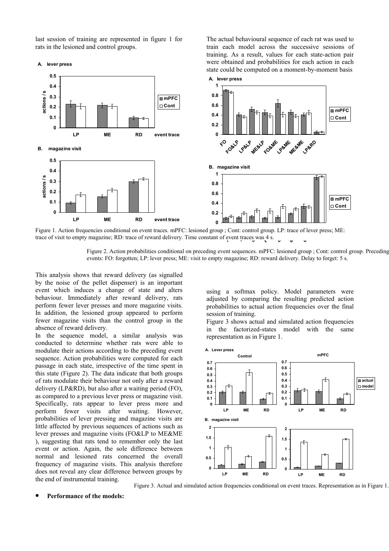last session of training are represented in figure 1 for rats in the lesioned and control groups.

**A. lever press 0.5**

**0.4**

**mPFC** train each model across the successive sessions of training. As a result, values for each state-action pair were obtained and probabilities for each action in each state could be computed on a moment-by-moment basis **A. lever press 0.8 1**

The actual behavioural sequence of each rat was used to



Figure 1. Action frequencies conditional on event traces. mPFC: lesioned group ; Cont: control group. LP: trace of lever press; ME: trace of visit to empty magazine; RD: trace of reward delivery. Time constant of event tra Figure 1. Action frequencies conditional on event traces. mPFC: lesioned group ; Cont: control group<br>trace of visit to empty magazine; RD: trace of reward delivery. Time constant of event traces was 4 s.

Figure 2. Action probabilities conditional on preceding event sequences. mPFC: lesioned group ; Cont: control group. Preceding events: FO: forgotten; LP: lever press; ME: visit to empty magazine; RD: reward delivery. Delay to forget: 5 s.

This analysis shows that reward delivery (as signalled by the noise of the pellet dispenser) is an important event which induces a change of state and alters behaviour. Immediately after reward delivery, rats perform fewer lever presses and more magazine visits. In addition, the lesioned group appeared to perform fewer magazine visits than the control group in the absence of reward delivery.

In the sequence model, a similar analysis was conducted to determine whether rats were able to modulate their actions according to the preceding event sequence. Action probabilities were computed for each passage in each state, irrespective of the time spent in this state (Figure 2). The data indicate that both groups of rats modulate their behaviour not only after a reward delivery (LP&RD), but also after a waiting period (FO), as compared to a previous lever press or magazine visit. Specifically, rats appear to lever press more and perform fewer visits after waiting. However, probabilities of lever pressing and magazine visits are little affected by previous sequences of actions such as lever presses and magazine visits (FO&LP to ME&ME ), suggesting that rats tend to remember only the last event or action. Again, the sole difference between normal and lesioned rats concerned the overall frequency of magazine visits. This analysis therefore does not reveal any clear difference between groups by the end of instrumental training.

using a softmax policy. Model parameters were adjusted by comparing the resulting predicted action probabilities to actual action frequencies over the final session of training.

Figure 3 shows actual and simulated action frequencies in the factorized-states model with the same representation as in Figure 1.



Figure 3. Actual and simulated action frequencies conditional on event traces. Representation as in Figure 1.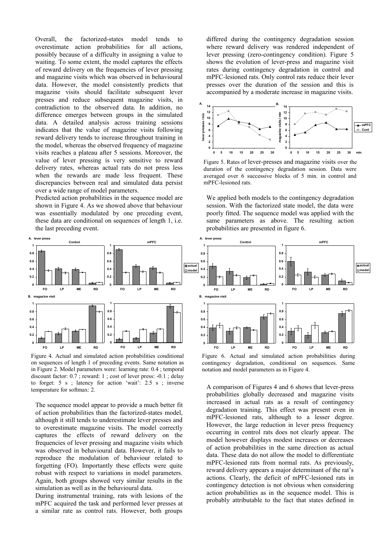Overall, the factorized-states model tends to overestimate action probabilities for all actions, possibly because of a difficulty in assigning a value to waiting. To some extent, the model captures the effects of reward delivery on the frequencies of lever pressing and magazine visits which was observed in behavioural data. However, the model consistently predicts that magazine visits should facilitate subsequent lever presses and reduce subsequent magazine visits, in contradiction to the observed data. In addition, no difference emerges between groups in the simulated data. A detailed analysis across training sessions indicates that the value of magazine visits following reward delivery tends to increase throughout training in the model, whereas the observed frequency of magazine visits reaches a plateau after 5 sessions. Moreover, the value of lever pressing is very sensitive to reward delivery rates, whereas actual rats do not press less when the rewards are made less frequent. These discrepancies between real and simulated data persist over a wide range of model parameters.

Predicted action probabilities in the sequence model are shown in Figure 4. As we showed above that behaviour was essentially modulated by one preceding event. these data are conditional on sequences of length 1, i.e. the last preceding event.



Figure 4. Actual and simulated action probabilities conditional on sequences of length 1 of preceding events. Same notation as in Figure 2. Model parameters were: learning rate: 0.4 ; temporal discount factor: 0.7 ; reward: 1 ; cost of lever press: -0.1 ; delay to forget: 5 s ; latency for action 'wait': 2.5 s ; inverse temperature for softmax: 2.

The sequence model appear to provide a much better fit of action probabilities than the factorized-states model, although it still tends to underestimate lever presses and to overestimate magazine visits. The model correctly captures the effects of reward delivery on the frequencies of lever pressing and magazine visits which was observed in behavioural data. However, it fails to reproduce the modulation of behaviour related to forgetting (FO). Importantly these effects were quite robust with respect to variations in model parameters. Again, both groups showed very similar results in the simulation as well as in the behavioural data.

During instrumental training, rats with lesions of the mPFC acquired the task and performed lever presses at a similar rate as control rats. However, both groups

differed during the contingency degradation session where reward delivery was rendered independent of lever pressing (zero-contingency condition). Figure 5 shows the evolution of lever-press and magazine visit rates during contingency degradation in control and mPFC-lesioned rats. Only control rats reduce their lever presses over the duration of the session and this is accompanied by a moderate increase in magazine visits.



Figure 5. Rates of lever-presses and magazine visits over the duration of the contingency degradation session. Data were averaged over 6 successive blocks of 5 min. in control and mPFC-lesioned rats.

We applied both models to the contingency degradation session. With the factorized state model, the data were poorly fitted. The sequence model was applied with the same parameters as above. The resulting action probabilities are presented in figure 6.



Figure 6. Actual and simulated action probabilities during contingency degradation, conditional on sequences. Same notation and model parameters as in Figure 4.

A comparison of Figures 4 and 6 shows that lever-press probabilities globally decreased and magazine visits increased in actual rats as a result of contingency degradation training. This effect was present even in mPFC-lesioned rats, although to a lesser degree. However, the large reduction in lever press frequency occurring in control rats does not clearly appear. The model however displays modest increases or decreases of action probabilities in the same direction as actual data. These data do not allow the model to differentiate mPFC-lesioned rats from normal rats. As previously, reward delivery appears a major determinant of the rat's actions. Clearly, the deficit of mPFC-lesioned rats in contingency detection is not obvious when considering action probabilities as in the sequence model. This is probably attributable to the fact that states defined in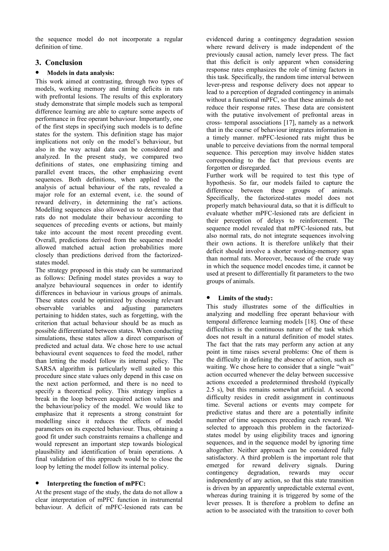the sequence model do not incorporate a regular definition of time.

# **3. Conclusion**

# **Models in data analysis:**

This work aimed at contrasting, through two types of models, working memory and timing deficits in rats with prefrontal lesions. The results of this exploratory study demonstrate that simple models such as temporal difference learning are able to capture some aspects of performance in free operant behaviour. Importantly, one of the first steps in specifying such models is to define states for the system. This definition stage has major implications not only on the model's behaviour, but also in the way actual data can be considered and analyzed. In the present study, we compared two definitions of states, one emphasizing timing and parallel event traces, the other emphasizing event sequences. Both definitions, when applied to the analysis of actual behaviour of the rats, revealed a major role for an external event, i.e. the sound of reward delivery, in determining the rat's actions. Modelling sequences also allowed us to determine that rats do not modulate their behaviour according to sequences of preceding events or actions, but mainly take into account the most recent preceding event. Overall, predictions derived from the sequence model allowed matched actual action probabilities more closely than predictions derived from the factorizedstates model.

The strategy proposed in this study can be summarized as follows: Defining model states provides a way to analyze behavioural sequences in order to identify differences in behaviour in various groups of animals. These states could be optimized by choosing relevant observable variables and adjusting parameters pertaining to hidden states, such as forgetting, with the criterion that actual behaviour should be as much as possible differentiated between states. When conducting simulations, these states allow a direct comparison of predicted and actual data. We chose here to use actual behavioural event sequences to feed the model, rather than letting the model follow its internal policy. The SARSA algorithm is particularly well suited to this procedure since state values only depend in this case on the next action performed, and there is no need to specify a theoretical policy. This strategy implies a break in the loop between acquired action values and the behaviour/policy of the model. We would like to emphasize that it represents a strong constraint for modelling since it reduces the effects of model parameters on its expected behaviour. Thus, obtaining a good fit under such constraints remains a challenge and would represent an important step towards biological plausibility and identification of brain operations. A final validation of this approach would be to close the loop by letting the model follow its internal policy.

# **Interpreting the function of mPFC:**

At the present stage of the study, the data do not allow a clear interpretation of mPFC function in instrumental behaviour. A deficit of mPFC-lesioned rats can be evidenced during a contingency degradation session where reward delivery is made independent of the previously causal action, namely lever press. The fact that this deficit is only apparent when considering response rates emphasizes the role of timing factors in this task. Specifically, the random time interval between lever-press and response delivery does not appear to lead to a perception of degraded contingency in animals without a functional mPFC, so that these animals do not reduce their response rates. These data are consistent with the putative involvement of prefrontal areas in cross- temporal associations [17], namely as a network that in the course of behaviour integrates information in a timely manner. mPFC-lesioned rats might thus be unable to perceive deviations from the normal temporal sequence. This perception may involve hidden states corresponding to the fact that previous events are forgotten or disregarded.

Further work will be required to test this type of hypothesis. So far, our models failed to capture the difference between these groups of animals. Specifically, the factorized-states model does not properly match behavioural data, so that it is difficult to evaluate whether mPFC-lesioned rats are deficient in their perception of delays to reinforcement. The sequence model revealed that mPFC-lesioned rats, but also normal rats, do not integrate sequences involving their own actions. It is therefore unlikely that their deficit should involve a shorter working-memory span than normal rats. Moreover, because of the crude way in which the sequence model encodes time, it cannot be used at present to differentially fit parameters to the two groups of animals.

# **Limits of the study:**

This study illustrates some of the difficulties in analyzing and modelling free operant behaviour with temporal difference learning models [18]. One of these difficulties is the continuous nature of the task which does not result in a natural definition of model states. The fact that the rats may perform any action at any point in time raises several problems: One of them is the difficulty in defining the absence of action, such as waiting. We chose here to consider that a single "wait" action occurred whenever the delay between successive actions exceeded a predetermined threshold (typically 2.5 s), but this remains somewhat artificial. A second difficulty resides in credit assignment in continuous time. Several actions or events may compete for predictive status and there are a potentially infinite number of time sequences preceding each reward. We selected to approach this problem in the factorizedstates model by using eligibility traces and ignoring sequences, and in the sequence model by ignoring time altogether. Neither approach can be considered fully satisfactory. A third problem is the important role that emerged for reward delivery signals. During contingency degradation, rewards may occur independently of any action, so that this state transition is driven by an apparently unpredictable external event, whereas during training it is triggered by some of the lever presses. It is therefore a problem to define an action to be associated with the transition to cover both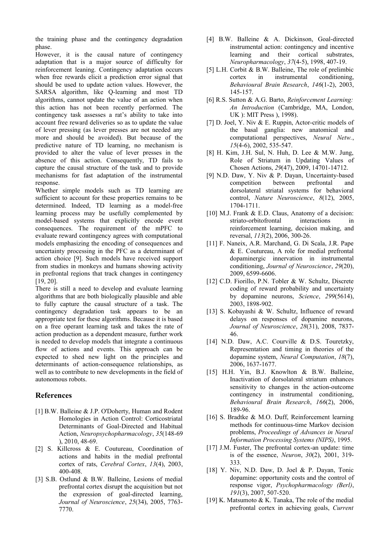the training phase and the contingency degradation phase.

However, it is the causal nature of contingency adaptation that is a major source of difficulty for reinforcement leaning. Contingency adaptation occurs when free rewards elicit a prediction error signal that should be used to update action values. However, the SARSA algorithm, like Q-learning and most TD algorithms, cannot update the value of an action when this action has not been recently performed. The contingency task assesses a rat's ability to take into account free reward deliveries so as to update the value of lever pressing (as lever presses are not needed any more and should be avoided). But because of the predictive nature of TD learning, no mechanism is provided to alter the value of lever presses in the absence of this action. Consequently, TD fails to capture the causal structure of the task and to provide mechanisms for fast adaptation of the instrumental response.

Whether simple models such as TD learning are sufficient to account for these properties remains to be determined. Indeed, TD learning as a model-free learning process may be usefully complemented by model-based systems that explicitly encode event consequences. The requirement of the mPFC to evaluate reward contingency agrees with computational models emphasizing the encoding of consequences and uncertainty processing in the PFC as a determinant of action choice [9]. Such models have received support from studies in monkeys and humans showing activity in prefrontal regions that track changes in contingency [19, 20].

There is still a need to develop and evaluate learning algorithms that are both biologically plausible and able to fully capture the causal structure of a task. The contingency degradation task appears to be an appropriate test for these algorithms. Because it is based on a free operant learning task and takes the rate of action production as a dependent measure, further work is needed to develop models that integrate a continuous flow of actions and events. This approach can be expected to shed new light on the principles and determinants of action-consequence relationships, as well as to contribute to new developments in the field of autonomous robots.

# **References**

- [1] B.W. Balleine & J.P. O'Doherty, Human and Rodent Homologies in Action Control: Corticostriatal Determinants of Goal-Directed and Habitual Action, *Neuropsychopharmacology*, *35*(148-69 ), 2010, 48-69.
- [2] S. Killcross & E. Coutureau, Coordination of actions and habits in the medial prefrontal cortex of rats, *Cerebral Cortex*, *13*(4), 2003, 400-408.
- [3] S.B. Ostlund & B.W. Balleine, Lesions of medial prefrontal cortex disrupt the acquisition but not the expression of goal-directed learning, *Journal of Neuroscience*, *25*(34), 2005, 7763- 7770.
- [4] B.W. Balleine & A. Dickinson, Goal-directed instrumental action: contingency and incentive learning and their cortical substrates, *Neuropharmacology*, *37*(4-5), 1998, 407-19.
- [5] L.H. Corbit & B.W. Balleine, The role of prelimbic cortex in instrumental conditioning, *Behavioural Brain Research*, *146*(1-2), 2003, 145-157.
- [6] R.S. Sutton & A.G. Barto, *Reinforcement Learning: An Introduction* (Cambridge, MA, London, UK ): MIT Press ), 1998).
- [7] D. Joel, Y. Niv & E. Ruppin, Actor-critic models of the basal ganglia: new anatomical and computational perspectives, *Neural Netw.*, *15*(4-6), 2002, 535-547.
- [8] H. Kim, J.H. Sul, N. Huh, D. Lee & M.W. Jung, Role of Striatum in Updating Values of Chosen Actions, *29*(47), 2009, 14701-14712.
- [9] N.D. Daw, Y. Niv & P. Dayan, Uncertainty-based competition between prefrontal and dorsolateral striatal systems for behavioral control, *Nature Neuroscience*, *8*(12), 2005, 1704-1711.
- [10] M.J. Frank & E.D. Claus, Anatomy of a decision: striato-orbitofrontal interactions in reinforcement learning, decision making, and reversal, *113*(2), 2006, 300-26.
- [11] F. Naneix, A.R. Marchand, G. Di Scala, J.R. Pape & E. Coutureau, A role for medial prefrontal dopaminergic innervation in instrumental conditioning, *Journal of Neuroscience*, *29*(20), 2009, 6599-6606.
- [12] C.D. Fiorillo, P.N. Tobler & W. Schultz, Discrete coding of reward probability and uncertainty by dopamine neurons, *Science*, *299*(5614), 2003, 1898-902.
- [13] S. Kobayashi & W. Schultz, Influence of reward delays on responses of dopamine neurons, *Journal of Neuroscience*, *28*(31), 2008, 7837- 46.
- [14] N.D. Daw, A.C. Courville & D.S. Touretzky, Representation and timing in theories of the dopamine system, *Neural Computation*, *18*(7), 2006, 1637-1677.
- [15] H.H. Yin, B.J. Knowlton & B.W. Balleine, Inactivation of dorsolateral striatum enhances sensitivity to changes in the action-outcome contingency in instrumental conditioning, *Behavioural Brain Research*, *166*(2), 2006, 189-96.
- [16] S. Bradtke & M.O. Duff, Reinforcement learning methods for continuous-time Markov decision problems, *Proceedings of Advances in Neural Information Processing Systems (NIPS)*, 1995.
- [17] J.M. Fuster, The prefrontal cortex-an update: time is of the essence, *Neuron*, *30*(2), 2001, 319- 333.
- [18] Y. Niv, N.D. Daw, D. Joel & P. Dayan, Tonic dopamine: opportunity costs and the control of response vigor, *Psychopharmacology (Berl)*, *191*(3), 2007, 507-520.
- [19] K. Matsumoto  $&$  K. Tanaka, The role of the medial prefrontal cortex in achieving goals, *Current*